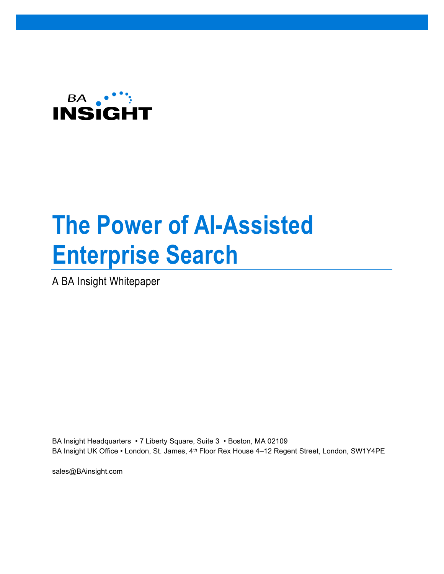

# **The Power of AI-Assisted Enterprise Search**

A BA Insight Whitepaper

BA Insight Headquarters • 7 Liberty Square, Suite 3 • Boston, MA 02109 BA Insight UK Office • London, St. James, 4<sup>th</sup> Floor Rex House 4-12 Regent Street, London, SW1Y4PE

sales@BAinsight.com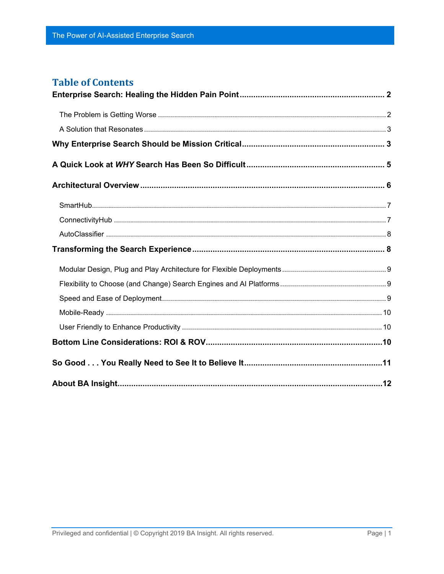#### **Table of Contents**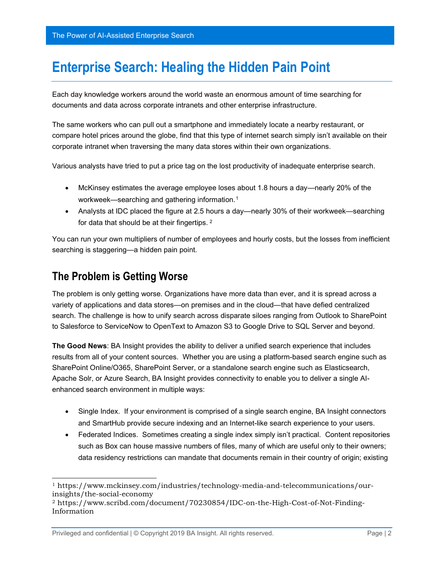# <span id="page-2-0"></span>**Enterprise Search: Healing the Hidden Pain Point**

Each day knowledge workers around the world waste an enormous amount of time searching for documents and data across corporate intranets and other enterprise infrastructure.

The same workers who can pull out a smartphone and immediately locate a nearby restaurant, or compare hotel prices around the globe, find that this type of internet search simply isn't available on their corporate intranet when traversing the many data stores within their own organizations.

Various analysts have tried to put a price tag on the lost productivity of inadequate enterprise search.

- McKinsey estimates the average employee loses about 1.8 hours a day—nearly 20% of the workweek—searching and gathering information.[1](#page-2-2)
- Analysts at IDC placed the figure at 2.5 hours a day—nearly 30% of their workweek—searching for data that should be at their fingertips. [2](#page-2-3)

You can run your own multipliers of number of employees and hourly costs, but the losses from inefficient searching is staggering—a hidden pain point.

### <span id="page-2-1"></span>**The Problem is Getting Worse**

The problem is only getting worse. Organizations have more data than ever, and it is spread across a variety of applications and data stores—on premises and in the cloud—that have defied centralized search. The challenge is how to unify search across disparate siloes ranging from Outlook to SharePoint to Salesforce to ServiceNow to OpenText to Amazon S3 to Google Drive to SQL Server and beyond.

**The Good News**: BA Insight provides the ability to deliver a unified search experience that includes results from all of your content sources. Whether you are using a platform-based search engine such as SharePoint Online/O365, SharePoint Server, or a standalone search engine such as Elasticsearch, Apache Solr, or Azure Search, BA Insight provides connectivity to enable you to deliver a single AIenhanced search environment in multiple ways:

- Single Index. If your environment is comprised of a single search engine, BA Insight connectors and SmartHub provide secure indexing and an Internet-like search experience to your users.
- Federated Indices. Sometimes creating a single index simply isn't practical. Content repositories such as Box can house massive numbers of files, many of which are useful only to their owners; data residency restrictions can mandate that documents remain in their country of origin; existing

<span id="page-2-2"></span><sup>1</sup> https://www.mckinsey.com/industries/technology-media-and-telecommunications/ourinsights/the-social-economy

<span id="page-2-3"></span><sup>2</sup> https://www.scribd.com/document/70230854/IDC-on-the-High-Cost-of-Not-Finding-Information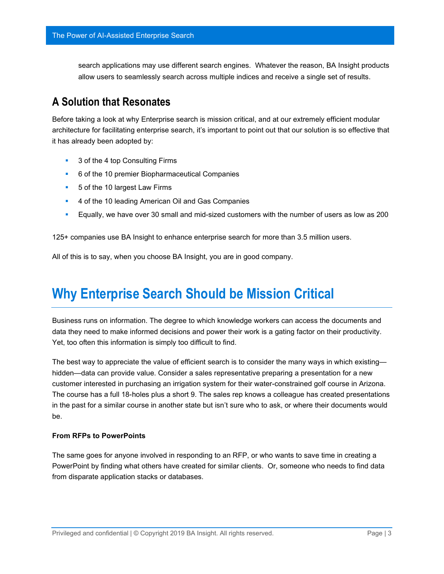search applications may use different search engines. Whatever the reason, BA Insight products allow users to seamlessly search across multiple indices and receive a single set of results.

### <span id="page-3-0"></span>**A Solution that Resonates**

Before taking a look at why Enterprise search is mission critical, and at our extremely efficient modular architecture for facilitating enterprise search, it's important to point out that our solution is so effective that it has already been adopted by:

- 3 of the 4 top Consulting Firms
- 6 of the 10 premier Biopharmaceutical Companies
- **5** of the 10 largest Law Firms
- 4 of the 10 leading American Oil and Gas Companies
- Equally, we have over 30 small and mid-sized customers with the number of users as low as 200

125+ companies use BA Insight to enhance enterprise search for more than 3.5 million users.

All of this is to say, when you choose BA Insight, you are in good company.

# <span id="page-3-1"></span>**Why Enterprise Search Should be Mission Critical**

Business runs on information. The degree to which knowledge workers can access the documents and data they need to make informed decisions and power their work is a gating factor on their productivity. Yet, too often this information is simply too difficult to find.

The best way to appreciate the value of efficient search is to consider the many ways in which existing hidden—data can provide value. Consider a sales representative preparing a presentation for a new customer interested in purchasing an irrigation system for their water-constrained golf course in Arizona. The course has a full 18-holes plus a short 9. The sales rep knows a colleague has created presentations in the past for a similar course in another state but isn't sure who to ask, or where their documents would be.

#### **From RFPs to PowerPoints**

The same goes for anyone involved in responding to an RFP, or who wants to save time in creating a PowerPoint by finding what others have created for similar clients. Or, someone who needs to find data from disparate application stacks or databases.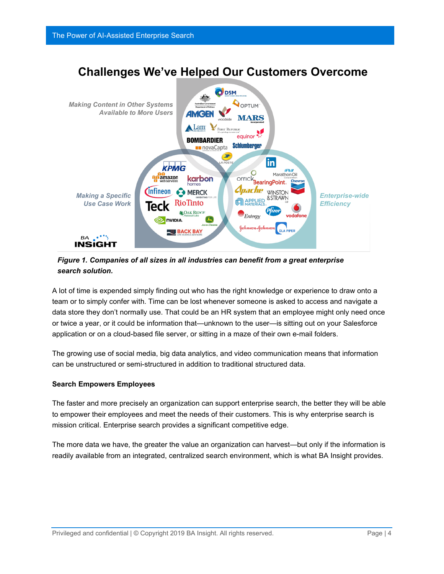

*Figure 1. Companies of all sizes in all industries can benefit from a great enterprise search solution.*

A lot of time is expended simply finding out who has the right knowledge or experience to draw onto a team or to simply confer with. Time can be lost whenever someone is asked to access and navigate a data store they don't normally use. That could be an HR system that an employee might only need once or twice a year, or it could be information that—unknown to the user—is sitting out on your Salesforce application or on a cloud-based file server, or sitting in a maze of their own e-mail folders.

The growing use of social media, big data analytics, and video communication means that information can be unstructured or semi-structured in addition to traditional structured data.

#### **Search Empowers Employees**

The faster and more precisely an organization can support enterprise search, the better they will be able to empower their employees and meet the needs of their customers. This is why enterprise search is mission critical. Enterprise search provides a significant competitive edge.

The more data we have, the greater the value an organization can harvest—but only if the information is readily available from an integrated, centralized search environment, which is what BA Insight provides.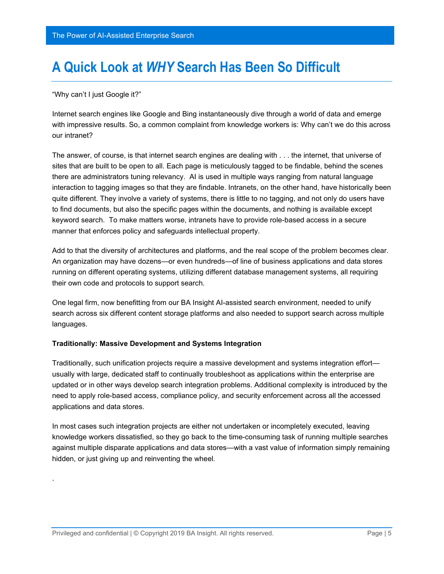# <span id="page-5-0"></span>**A Quick Look at** *WHY* **Search Has Been So Difficult**

"Why can't I just Google it?"

.

Internet search engines like Google and Bing instantaneously dive through a world of data and emerge with impressive results. So, a common complaint from knowledge workers is: Why can't we do this across our intranet?

The answer, of course, is that internet search engines are dealing with . . . the internet, that universe of sites that are built to be open to all. Each page is meticulously tagged to be findable, behind the scenes there are administrators tuning relevancy. AI is used in multiple ways ranging from natural language interaction to tagging images so that they are findable. Intranets, on the other hand, have historically been quite different. They involve a variety of systems, there is little to no tagging, and not only do users have to find documents, but also the specific pages within the documents, and nothing is available except keyword search. To make matters worse, intranets have to provide role-based access in a secure manner that enforces policy and safeguards intellectual property.

Add to that the diversity of architectures and platforms, and the real scope of the problem becomes clear. An organization may have dozens—or even hundreds—of line of business applications and data stores running on different operating systems, utilizing different database management systems, all requiring their own code and protocols to support search.

One legal firm, now benefitting from our BA Insight AI-assisted search environment, needed to unify search across six different content storage platforms and also needed to support search across multiple languages.

#### **Traditionally: Massive Development and Systems Integration**

Traditionally, such unification projects require a massive development and systems integration effort usually with large, dedicated staff to continually troubleshoot as applications within the enterprise are updated or in other ways develop search integration problems. Additional complexity is introduced by the need to apply role-based access, compliance policy, and security enforcement across all the accessed applications and data stores.

In most cases such integration projects are either not undertaken or incompletely executed, leaving knowledge workers dissatisfied, so they go back to the time-consuming task of running multiple searches against multiple disparate applications and data stores—with a vast value of information simply remaining hidden, or just giving up and reinventing the wheel.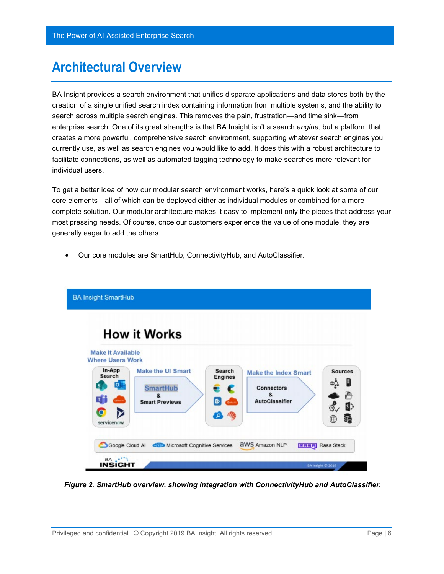# <span id="page-6-0"></span>**Architectural Overview**

BA Insight provides a search environment that unifies disparate applications and data stores both by the creation of a single unified search index containing information from multiple systems, and the ability to search across multiple search engines. This removes the pain, frustration—and time sink—from enterprise search. One of its great strengths is that BA Insight isn't a search *engine*, but a platform that creates a more powerful, comprehensive search environment, supporting whatever search engines you currently use, as well as search engines you would like to add. It does this with a robust architecture to facilitate connections, as well as automated tagging technology to make searches more relevant for individual users.

To get a better idea of how our modular search environment works, here's a quick look at some of our core elements—all of which can be deployed either as individual modules or combined for a more complete solution. Our modular architecture makes it easy to implement only the pieces that address your most pressing needs. Of course, once our customers experience the value of one module, they are generally eager to add the others.

• Our core modules are SmartHub, ConnectivityHub, and AutoClassifier.



*Figure 2. SmartHub overview, showing integration with ConnectivityHub and AutoClassifier.*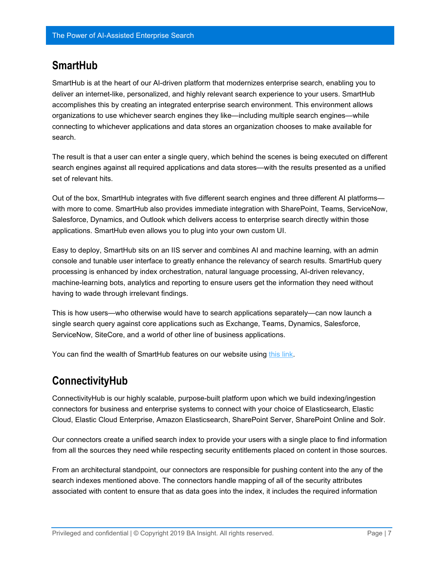#### <span id="page-7-0"></span>**SmartHub**

SmartHub is at the heart of our AI-driven platform that modernizes enterprise search, enabling you to deliver an internet-like, personalized, and highly relevant search experience to your users. SmartHub accomplishes this by creating an integrated enterprise search environment. This environment allows organizations to use whichever search engines they like—including multiple search engines—while connecting to whichever applications and data stores an organization chooses to make available for search.

The result is that a user can enter a single query, which behind the scenes is being executed on different search engines against all required applications and data stores—with the results presented as a unified set of relevant hits.

Out of the box, SmartHub integrates with five different search engines and three different AI platforms with more to come. SmartHub also provides immediate integration with SharePoint, Teams, ServiceNow, Salesforce, Dynamics, and Outlook which delivers access to enterprise search directly within those applications. SmartHub even allows you to plug into your own custom UI.

Easy to deploy, SmartHub sits on an IIS server and combines AI and machine learning, with an admin console and tunable user interface to greatly enhance the relevancy of search results. SmartHub query processing is enhanced by index orchestration, natural language processing, AI-driven relevancy, machine-learning bots, analytics and reporting to ensure users get the information they need without having to wade through irrelevant findings.

This is how users—who otherwise would have to search applications separately—can now launch a single search query against core applications such as Exchange, Teams, Dynamics, Salesforce, ServiceNow, SiteCore, and a world of other line of business applications.

You can find the wealth of SmartHub features on our website using [this link.](https://www.bainsight.com/smarthub/)

## <span id="page-7-1"></span>**ConnectivityHub**

ConnectivityHub is our highly scalable, purpose-built platform upon which we build indexing/ingestion connectors for business and enterprise systems to connect with your choice of Elasticsearch, Elastic Cloud, Elastic Cloud Enterprise, Amazon Elasticsearch, SharePoint Server, SharePoint Online and Solr.

Our connectors create a unified search index to provide your users with a single place to find information from all the sources they need while respecting security entitlements placed on content in those sources.

From an architectural standpoint, our connectors are responsible for pushing content into the any of the search indexes mentioned above. The connectors handle mapping of all of the security attributes associated with content to ensure that as data goes into the index, it includes the required information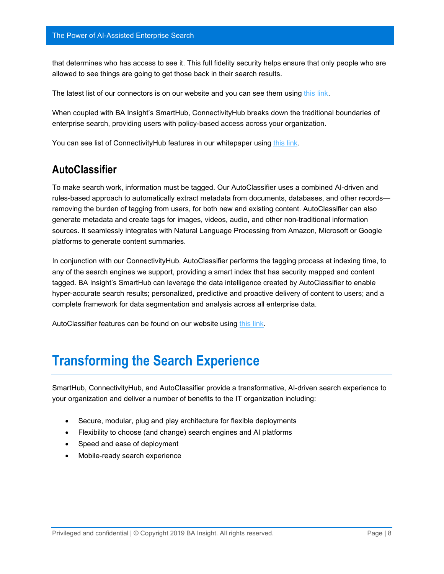that determines who has access to see it. This full fidelity security helps ensure that only people who are allowed to see things are going to get those back in their search results.

The latest list of our connectors is on our website and you can see them using [this link.](https://www.bainsight.com/indexing-connectors-for-elasticsearch/)

When coupled with BA Insight's SmartHub, ConnectivityHub breaks down the traditional boundaries of enterprise search, providing users with policy-based access across your organization.

You can see list of ConnectivityHub features in our whitepaper using [this link.](http://www.bainsight.com/wp-content/uploads/2018/10/ConnectivityHub-and-ElasticSearch.pdf)

#### <span id="page-8-0"></span>**AutoClassifier**

To make search work, information must be tagged. Our AutoClassifier uses a combined AI-driven and rules-based approach to automatically extract metadata from documents, databases, and other records removing the burden of tagging from users, for both new and existing content. AutoClassifier can also generate metadata and create tags for images, videos, audio, and other non-traditional information sources. It seamlessly integrates with Natural Language Processing from Amazon, Microsoft or Google platforms to generate content summaries.

In conjunction with our ConnectivityHub, AutoClassifier performs the tagging process at indexing time, to any of the search engines we support, providing a smart index that has security mapped and content tagged. BA Insight's SmartHub can leverage the data intelligence created by AutoClassifier to enable hyper-accurate search results; personalized, predictive and proactive delivery of content to users; and a complete framework for data segmentation and analysis across all enterprise data.

AutoClassifier features can be found on our website using [this link.](https://www.bainsight.com/classification/)

## <span id="page-8-1"></span>**Transforming the Search Experience**

SmartHub, ConnectivityHub, and AutoClassifier provide a transformative, AI-driven search experience to your organization and deliver a number of benefits to the IT organization including:

- Secure, modular, plug and play architecture for flexible deployments
- Flexibility to choose (and change) search engines and AI platforms
- Speed and ease of deployment
- Mobile-ready search experience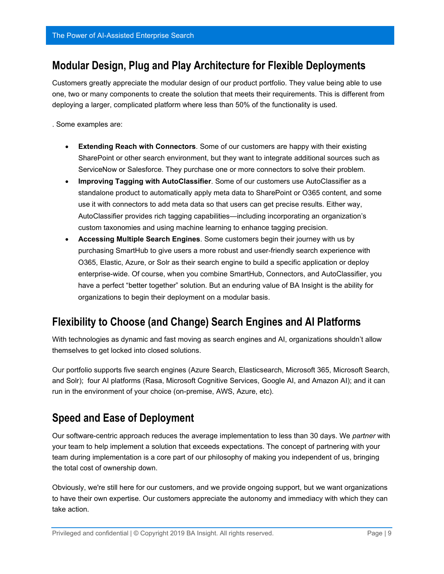#### <span id="page-9-0"></span>**Modular Design, Plug and Play Architecture for Flexible Deployments**

Customers greatly appreciate the modular design of our product portfolio. They value being able to use one, two or many components to create the solution that meets their requirements. This is different from deploying a larger, complicated platform where less than 50% of the functionality is used.

. Some examples are:

- **Extending Reach with Connectors**. Some of our customers are happy with their existing SharePoint or other search environment, but they want to integrate additional sources such as ServiceNow or Salesforce. They purchase one or more connectors to solve their problem.
- **Improving Tagging with AutoClassifier**. Some of our customers use AutoClassifier as a standalone product to automatically apply meta data to SharePoint or O365 content, and some use it with connectors to add meta data so that users can get precise results. Either way, AutoClassifier provides rich tagging capabilities—including incorporating an organization's custom taxonomies and using machine learning to enhance tagging precision.
- **Accessing Multiple Search Engines**. Some customers begin their journey with us by purchasing SmartHub to give users a more robust and user-friendly search experience with O365, Elastic, Azure, or Solr as their search engine to build a specific application or deploy enterprise-wide. Of course, when you combine SmartHub, Connectors, and AutoClassifier, you have a perfect "better together" solution. But an enduring value of BA Insight is the ability for organizations to begin their deployment on a modular basis.

## <span id="page-9-1"></span>**Flexibility to Choose (and Change) Search Engines and AI Platforms**

With technologies as dynamic and fast moving as search engines and AI, organizations shouldn't allow themselves to get locked into closed solutions.

Our portfolio supports five search engines (Azure Search, Elasticsearch, Microsoft 365, Microsoft Search, and Solr); four AI platforms (Rasa, Microsoft Cognitive Services, Google AI, and Amazon AI); and it can run in the environment of your choice (on-premise, AWS, Azure, etc).

### <span id="page-9-2"></span>**Speed and Ease of Deployment**

Our software-centric approach reduces the average implementation to less than 30 days. We *partner* with your team to help implement a solution that exceeds expectations. The concept of partnering with your team during implementation is a core part of our philosophy of making you independent of us, bringing the total cost of ownership down.

Obviously, we're still here for our customers, and we provide ongoing support, but we want organizations to have their own expertise. Our customers appreciate the autonomy and immediacy with which they can take action.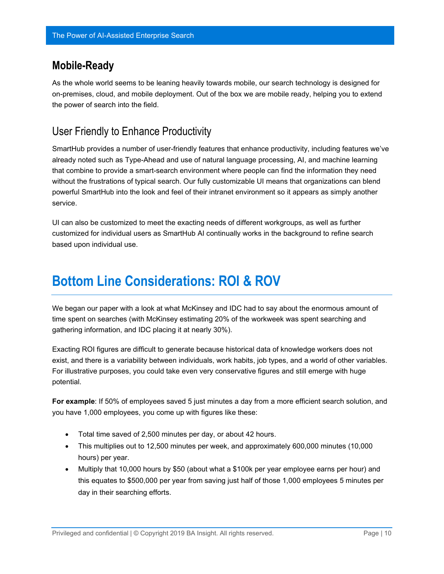#### <span id="page-10-0"></span>**Mobile-Ready**

As the whole world seems to be leaning heavily towards mobile, our search technology is designed for on-premises, cloud, and mobile deployment. Out of the box we are mobile ready, helping you to extend the power of search into the field.

### <span id="page-10-1"></span>User Friendly to Enhance Productivity

SmartHub provides a number of user-friendly features that enhance productivity, including features we've already noted such as Type-Ahead and use of natural language processing, AI, and machine learning that combine to provide a smart-search environment where people can find the information they need without the frustrations of typical search. Our fully customizable UI means that organizations can blend powerful SmartHub into the look and feel of their intranet environment so it appears as simply another service.

UI can also be customized to meet the exacting needs of different workgroups, as well as further customized for individual users as SmartHub AI continually works in the background to refine search based upon individual use.

# <span id="page-10-2"></span>**Bottom Line Considerations: ROI & ROV**

We began our paper with a look at what McKinsey and IDC had to say about the enormous amount of time spent on searches (with McKinsey estimating 20% of the workweek was spent searching and gathering information, and IDC placing it at nearly 30%).

Exacting ROI figures are difficult to generate because historical data of knowledge workers does not exist, and there is a variability between individuals, work habits, job types, and a world of other variables. For illustrative purposes, you could take even very conservative figures and still emerge with huge potential.

**For example**: If 50% of employees saved 5 just minutes a day from a more efficient search solution, and you have 1,000 employees, you come up with figures like these:

- Total time saved of 2,500 minutes per day, or about 42 hours.
- This multiplies out to 12,500 minutes per week, and approximately 600,000 minutes (10,000 hours) per year.
- Multiply that 10,000 hours by \$50 (about what a \$100k per year employee earns per hour) and this equates to \$500,000 per year from saving just half of those 1,000 employees 5 minutes per day in their searching efforts.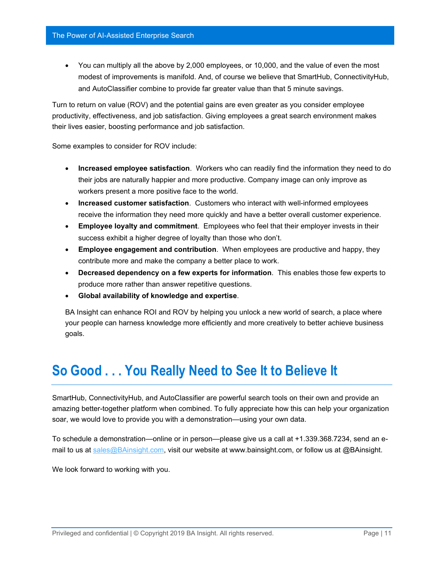• You can multiply all the above by 2,000 employees, or 10,000, and the value of even the most modest of improvements is manifold. And, of course we believe that SmartHub, ConnectivityHub, and AutoClassifier combine to provide far greater value than that 5 minute savings.

Turn to return on value (ROV) and the potential gains are even greater as you consider employee productivity, effectiveness, and job satisfaction. Giving employees a great search environment makes their lives easier, boosting performance and job satisfaction.

Some examples to consider for ROV include:

- **Increased employee satisfaction**. Workers who can readily find the information they need to do their jobs are naturally happier and more productive. Company image can only improve as workers present a more positive face to the world.
- **Increased customer satisfaction**. Customers who interact with well-informed employees receive the information they need more quickly and have a better overall customer experience.
- **Employee loyalty and commitment**. Employees who feel that their employer invests in their success exhibit a higher degree of loyalty than those who don't.
- **Employee engagement and contribution**. When employees are productive and happy, they contribute more and make the company a better place to work.
- **Decreased dependency on a few experts for information**. This enables those few experts to produce more rather than answer repetitive questions.
- **Global availability of knowledge and expertise**.

BA Insight can enhance ROI and ROV by helping you unlock a new world of search, a place where your people can harness knowledge more efficiently and more creatively to better achieve business goals.

# <span id="page-11-0"></span>**So Good . . . You Really Need to See It to Believe It**

SmartHub, ConnectivityHub, and AutoClassifier are powerful search tools on their own and provide an amazing better-together platform when combined. To fully appreciate how this can help your organization soar, we would love to provide you with a demonstration—using your own data.

To schedule a demonstration—online or in person—please give us a call at +1.339.368.7234, send an email to us at [sales@BAinsight.com,](mailto:sales@BAinsight.com) visit our website at www.bainsight.com, or follow us at @BAinsight.

We look forward to working with you.